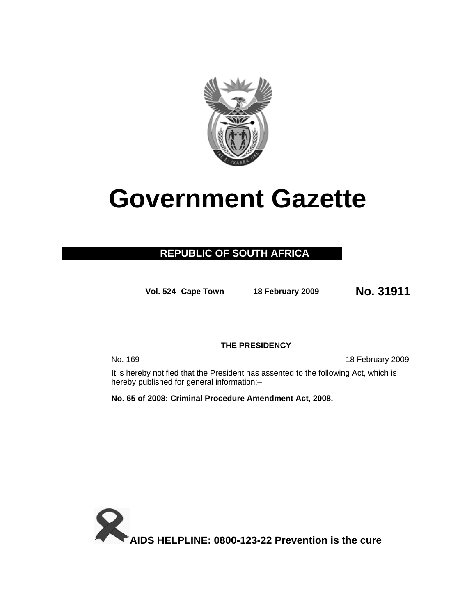

# **Government Gazette**

## **REPUBLIC OF SOUTH AFRICA**

**Vol. 524 Cape Town 18 February 2009 No. 31911**

### **THE PRESIDENCY**

No. 169 18 February 2009

It is hereby notified that the President has assented to the following Act, which is hereby published for general information:–

**No. 65 of 2008: Criminal Procedure Amendment Act, 2008.** 

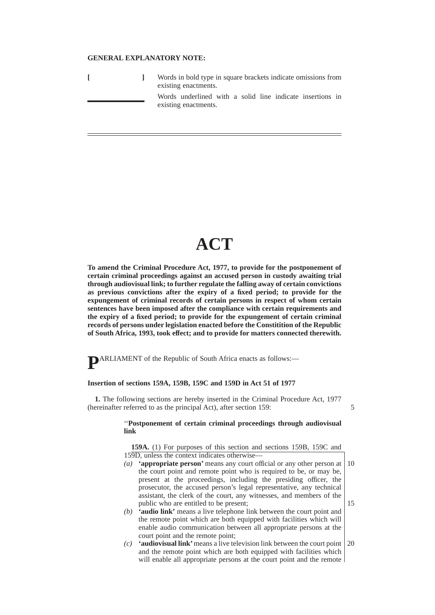#### **GENERAL EXPLANATORY NOTE:**

|  | Words in bold type in square brackets indicate omissions from<br>existing enactments. |  |  |  |  |  |  |
|--|---------------------------------------------------------------------------------------|--|--|--|--|--|--|
|  | Words underlined with a solid line indicate insertions in<br>existing enactments.     |  |  |  |  |  |  |

# **ACT**

**To amend the Criminal Procedure Act, 1977, to provide for the postponement of certain criminal proceedings against an accused person in custody awaiting trial through audiovisual link; to further regulate the falling away of certain convictions as previous convictions after the expiry of a fixed period; to provide for the expungement of criminal records of certain persons in respect of whom certain sentences have been imposed after the compliance with certain requirements and the expiry of a fixed period; to provide for the expungement of certain criminal records of persons under legislation enacted before the Constitition of the Republic of South Africa, 1993, took effect; and to provide for matters connected therewith.**

**P**ARLIAMENT of the Republic of South Africa enacts as follows:—

#### **Insertion of sections 159A, 159B, 159C and 159D in Act 51 of 1977**

**1.** The following sections are hereby inserted in the Criminal Procedure Act, 1977 (hereinafter referred to as the principal Act), after section 159:

#### ''**Postponement of certain criminal proceedings through audiovisual link**

5

**159A.** (1) For purposes of this section and sections 159B, 159C and 159D, unless the context indicates otherwise—

- *(a)* **'appropriate person'** means any court official or any other person at the court point and remote point who is required to be, or may be, present at the proceedings, including the presiding officer, the prosecutor, the accused person's legal representative, any technical assistant, the clerk of the court, any witnesses, and members of the public who are entitled to be present; 10 15
- *(b)* **'audio link'** means a live telephone link between the court point and the remote point which are both equipped with facilities which will enable audio communication between all appropriate persons at the court point and the remote point;
- *(c)* **'audiovisual link'**means a live television link between the court point and the remote point which are both equipped with facilities which will enable all appropriate persons at the court point and the remote 20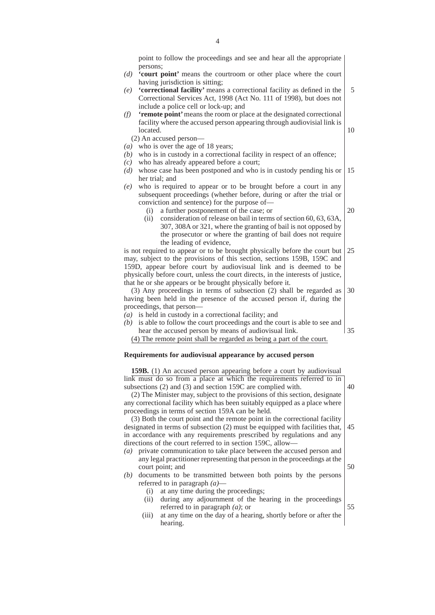point to follow the proceedings and see and hear all the appropriate persons;

- *(d)* **'court point'** means the courtroom or other place where the court having jurisdiction is sitting;
- *(e)* **'correctional facility'** means a correctional facility as defined in the Correctional Services Act, 1998 (Act No. 111 of 1998), but does not include a police cell or lock-up; and 5
- *(f)* **'remote point'**means the room or place at the designated correctional facility where the accused person appearing through audiovisial link is located.
	- (2) An accused person—
- *(a)* who is over the age of 18 years;
- *(b)* who is in custody in a correctional facility in respect of an offence;
- *(c)* who has already appeared before a court;
- *(d)* whose case has been postponed and who is in custody pending his or her trial; and 15
- *(e)* who is required to appear or to be brought before a court in any subsequent proceedings (whether before, during or after the trial or conviction and sentence) for the purpose of—
	- (i) a further postponement of the case; or

20

10

(ii) consideration of release on bail in terms of section 60, 63, 63A, 307, 308A or 321, where the granting of bail is not opposed by the prosecutor or where the granting of bail does not require the leading of evidence,

is not required to appear or to be brought physically before the court but may, subject to the provisions of this section, sections 159B, 159C and 159D, appear before court by audiovisual link and is deemed to be physically before court, unless the court directs, in the interests of justice, that he or she appears or be brought physically before it. 25

(3) Any proceedings in terms of subsection (2) shall be regarded as having been held in the presence of the accused person if, during the proceedings, that person— 30

- *(a)* is held in custody in a correctional facility; and
- *(b)* is able to follow the court proceedings and the court is able to see and hear the accused person by means of audiovisual link. 35

(4) The remote point shall be regarded as being a part of the court.

#### **Requirements for audiovisual appearance by accused person**

**159B.** (1) An accused person appearing before a court by audiovisual link must do so from a place at which the requirements referred to in subsections (2) and (3) and section 159C are complied with.

40

50

(2) The Minister may, subject to the provisions of this section, designate any correctional facility which has been suitably equipped as a place where proceedings in terms of section 159A can be held.

(3) Both the court point and the remote point in the correctional facility designated in terms of subsection (2) must be equipped with facilities that, in accordance with any requirements prescribed by regulations and any directions of the court referred to in section 159C, allow— 45

- *(a)* private communication to take place between the accused person and any legal practitioner representing that person in the proceedings at the court point; and
- *(b)* documents to be transmitted between both points by the persons referred to in paragraph *(a)*—
	- (i) at any time during the proceedings;
	- (ii) during any adjournment of the hearing in the proceedings referred to in paragraph *(a)*; or 55
	- (iii) at any time on the day of a hearing, shortly before or after the hearing.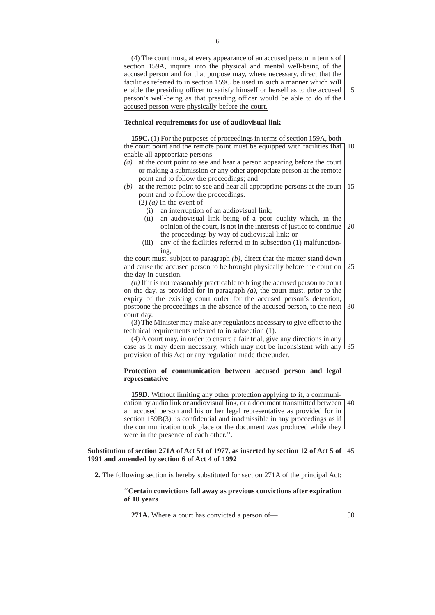(4) The court must, at every appearance of an accused person in terms of section 159A, inquire into the physical and mental well-being of the accused person and for that purpose may, where necessary, direct that the facilities referred to in section 159C be used in such a manner which will enable the presiding officer to satisfy himself or herself as to the accused person's well-being as that presiding officer would be able to do if the accused person were physically before the court.

#### **Technical requirements for use of audiovisual link**

**159C.** (1) For the purposes of proceedings in terms of section 159A, both the court point and the remote point must be equipped with facilities that 10 enable all appropriate persons—

- *(a)* at the court point to see and hear a person appearing before the court or making a submission or any other appropriate person at the remote point and to follow the proceedings; and
- *(b)* at the remote point to see and hear all appropriate persons at the court point and to follow the proceedings. 15
	- $(2)$   $(a)$  In the event of-
		- (i) an interruption of an audiovisual link;
		- (ii) an audiovisual link being of a poor quality which, in the opinion of the court, is not in the interests of justice to continue the proceedings by way of audiovisual link; or 20
	- (iii) any of the facilities referred to in subsection (1) malfunctioning,

the court must, subject to paragraph *(b)*, direct that the matter stand down and cause the accused person to be brought physically before the court on the day in question. 25

*(b)* If it is not reasonably practicable to bring the accused person to court on the day, as provided for in paragraph *(a)*, the court must, prior to the expiry of the existing court order for the accused person's detention, postpone the proceedings in the absence of the accused person, to the next court day. 30

(3) The Minister may make any regulations necessary to give effect to the technical requirements referred to in subsection (1).

(4) A court may, in order to ensure a fair trial, give any directions in any case as it may deem necessary, which may not be inconsistent with any 35 provision of this Act or any regulation made thereunder.

#### **Protection of communication between accused person and legal representative**

**159D.** Without limiting any other protection applying to it, a communication by audio link or audiovisual link, or a document transmitted between 40 an accused person and his or her legal representative as provided for in section 159B(3), is confidential and inadmissible in any proceedings as if the communication took place or the document was produced while they were in the presence of each other.''.

#### **Substitution of section 271A of Act 51 of 1977, as inserted by section 12 of Act 5 of** 45 **1991 and amended by section 6 of Act 4 of 1992**

**2.** The following section is hereby substituted for section 271A of the principal Act:

#### ''**Certain convictions fall away as previous convictions after expiration of 10 years**

**271A.** Where a court has convicted a person of—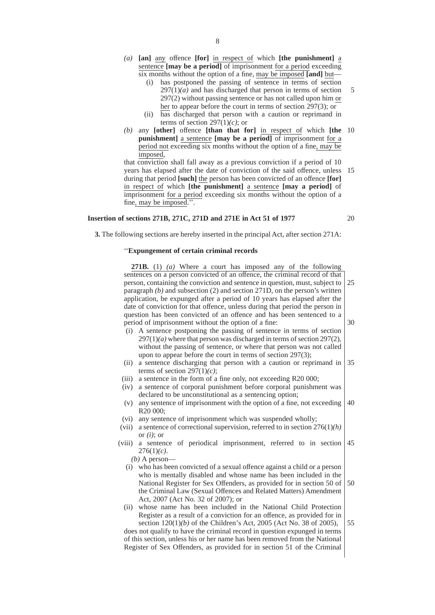- *(a)* **[an]** any offence **[for]** in respect of which **[the punishment]** a sentence **[may be a period]** of imprisonment for a period exceeding six months without the option of a fine, may be imposed **[and]** but—
	- (i) has postponed the passing of sentence in terms of section  $297(1)(a)$  and has discharged that person in terms of section 297(2) without passing sentence or has not called upon him or her to appear before the court in terms of section 297(3); or 5
	- (ii) has discharged that person with a caution or reprimand in terms of section  $297(1)(c)$ ; or
- *(b)* any **[other]** offence **[than that for]** in respect of which **[the** 10 **punishment]** a sentence **[may be a period]** of imprisonment for a period not exceeding six months without the option of a fine, may be imposed,

that conviction shall fall away as a previous conviction if a period of 10 years has elapsed after the date of conviction of the said offence, unless 15 during that period **[such]** the person has been convicted of an offence **[for]** in respect of which **[the punishment]** a sentence **[may a period]** of imprisonment for a period exceeding six months without the option of a fine, may be imposed.''.

#### **Insertion of sections 271B, 271C, 271D and 271E in Act 51 of 1977**

20

**3.** The following sections are hereby inserted in the principal Act, after section 271A:

#### ''**Expungement of certain criminal records**

**271B.** (1) *(a)* Where a court has imposed any of the following sentences on a person convicted of an offence, the criminal record of that person, containing the conviction and sentence in question, must, subject to paragraph *(b)* and subsection (2) and section 271D, on the person's written application, be expunged after a period of 10 years has elapsed after the date of conviction for that offence, unless during that period the person in question has been convicted of an offence and has been sentenced to a period of imprisonment without the option of a fine: (i) A sentence postponing the passing of sentence in terms of section  $297(1)(a)$  where that person was discharged in terms of section 297(2), without the passing of sentence, or where that person was not called upon to appear before the court in terms of section 297(3); (ii) a sentence discharging that person with a caution or reprimand in terms of section 297(1)*(c)*; (iii) a sentence in the form of a fine only, not exceeding R20 000; (iv) a sentence of corporal punishment before corporal punishment was declared to be unconstitutional as a sentencing option; (v) any sentence of imprisonment with the option of a fine, not exceeding R20 000; (vi) any sentence of imprisonment which was suspended wholly; (vii) a sentence of correctional supervision, referred to in section 276(1)*(h)* or *(i)*; or (viii) a sentence of periodical imprisonment, referred to in section 276(1)*(c)*. *(b)* A person— (i) who has been convicted of a sexual offence against a child or a person who is mentally disabled and whose name has been included in the National Register for Sex Offenders, as provided for in section 50 of the Criminal Law (Sexual Offences and Related Matters) Amendment Act, 2007 (Act No. 32 of 2007); or (ii) whose name has been included in the National Child Protection Register as a result of a conviction for an offence, as provided for in section 120(1)*(b)* of the Children's Act, 2005 (Act No. 38 of 2005), does not qualify to have the criminal record in question expunged in terms of this section, unless his or her name has been removed from the National Register of Sex Offenders, as provided for in section 51 of the Criminal 25 30 35 40 45 50 55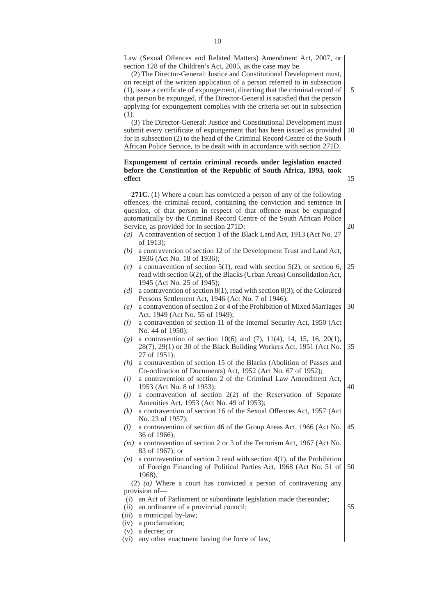Law (Sexual Offences and Related Matters) Amendment Act, 2007, or section 128 of the Children's Act, 2005, as the case may be.

(2) The Director-General: Justice and Constitutional Development must, on receipt of the written application of a person referred to in subsection (1), issue a certificate of expungement, directing that the criminal record of that person be expunged, if the Director-General is satisfied that the person applying for expungement complies with the criteria set out in subsection (1).

(3) The Director-General: Justice and Constitutional Development must submit every certificate of expungement that has been issued as provided for in subsection (2) to the head of the Criminal Record Centre of the South African Police Service, to be dealt with in accordance with section 271D. 10

#### **Expungement of certain criminal records under legislation enacted before the Constitution of the Republic of South Africa, 1993, took effect**

**271C.** (1) Where a court has convicted a person of any of the following offences, the criminal record, containing the conviction and sentence in question, of that person in respect of that offence must be expunged automatically by the Criminal Record Centre of the South African Police Service, as provided for in section 271D:

- *(a)* A contravention of section 1 of the Black Land Act, 1913 (Act No. 27 of 1913);
- *(b)* a contravention of section 12 of the Development Trust and Land Act, 1936 (Act No. 18 of 1936);
- $(c)$  a contravention of section 5(1), read with section 5(2), or section 6, read with section 6(2), of the Blacks (Urban Areas) Consolidation Act, 1945 (Act No. 25 of 1945); 25
- *(d)* a contravention of section 8(1), read with section 8(3), of the Coloured Persons Settlement Act, 1946 (Act No. 7 of 1946);
- *(e)* a contravention of section 2 or 4 of the Prohibition of Mixed Marriages Act, 1949 (Act No. 55 of 1949); 30
- *(f)* a contravention of section 11 of the Internal Security Act, 1950 (Act No. 44 of 1950);
- *(g)* a contravention of section 10(6) and (7), 11(4), 14, 15, 16, 20(1), 28(7), 29(1) or 30 of the Black Building Workers Act, 1951 (Act No. 27 of 1951); 35
- *(h)* a contravention of section 15 of the Blacks (Abolition of Passes and Co-ordination of Documents) Act, 1952 (Act No. 67 of 1952);
- *(i)* a contravention of section 2 of the Criminal Law Amendment Act, 1953 (Act No. 8 of 1953);
- *(j)* a contravention of section 2(2) of the Reservation of Separate Amenities Act, 1953 (Act No. 49 of 1953);
- *(k)* a contravention of section 16 of the Sexual Offences Act, 1957 (Act No. 23 of 1957);
- *(l)* a contravention of section 46 of the Group Areas Act, 1966 (Act No. 36 of 1966); 45
- *(m)* a contravention of section 2 or 3 of the Terrorism Act, 1967 (Act No. 83 of 1967); or
- *(n)* a contravention of section 2 read with section 4(1), of the Prohibition of Foreign Financing of Political Parties Act, 1968 (Act No. 51 of 1968). 50

#### (2) *(a)* Where a court has convicted a person of contravening any provision of—

(i) an Act of Parliament or subordinate legislation made thereunder;

- (ii) an ordinance of a provincial council;
- (iii) a municipal by-law;
- (iv) a proclamation;
- (v) a decree; or
- (vi) any other enactment having the force of law,

55

20

15

5

- 
-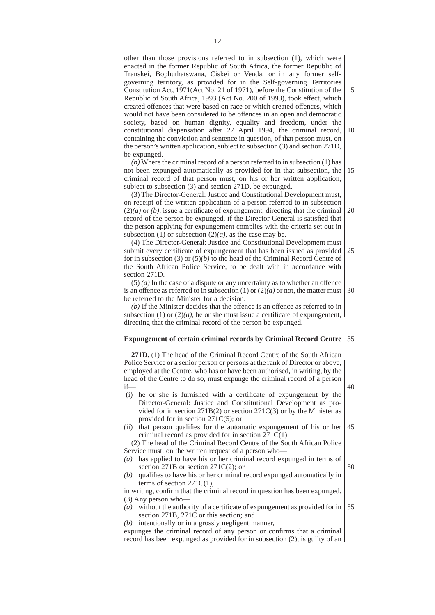other than those provisions referred to in subsection (1), which were enacted in the former Republic of South Africa, the former Republic of Transkei, Bophuthatswana, Ciskei or Venda, or in any former selfgoverning territory, as provided for in the Self-governing Territories Constitution Act, 1971(Act No. 21 of 1971), before the Constitution of the Republic of South Africa, 1993 (Act No. 200 of 1993), took effect, which created offences that were based on race or which created offences, which would not have been considered to be offences in an open and democratic society, based on human dignity, equality and freedom, under the constitutional dispensation after 27 April 1994, the criminal record, containing the conviction and sentence in question, of that person must, on the person's written application, subject to subsection (3) and section 271D, be expunged. 10

*(b)* Where the criminal record of a person referred to in subsection (1) has not been expunged automatically as provided for in that subsection, the criminal record of that person must, on his or her written application, subject to subsection (3) and section 271D, be expunged. 15

(3) The Director-General: Justice and Constitutional Development must, on receipt of the written application of a person referred to in subsection  $(2)(a)$  or  $(b)$ , issue a certificate of expungement, directing that the criminal record of the person be expunged, if the Director-General is satisfied that the person applying for expungement complies with the criteria set out in subsection  $(1)$  or subsection  $(2)(a)$ , as the case may be. 20

(4) The Director-General: Justice and Constitutional Development must submit every certificate of expungement that has been issued as provided for in subsection (3) or (5)*(b)* to the head of the Criminal Record Centre of the South African Police Service, to be dealt with in accordance with section 271D. 25

(5) *(a)* In the case of a dispute or any uncertainty as to whether an offence is an offence as referred to in subsection  $(1)$  or  $(2)(a)$  or not, the matter must be referred to the Minister for a decision. 30

*(b)* If the Minister decides that the offence is an offence as referred to in subsection (1) or  $(2)(a)$ , he or she must issue a certificate of expungement, directing that the criminal record of the person be expunged.

#### **Expungement of certain criminal records by Criminal Record Centre** 35

**271D.** (1) The head of the Criminal Record Centre of the South African Police Service or a senior person or persons at the rank of Director or above, employed at the Centre, who has or have been authorised, in writing, by the head of the Centre to do so, must expunge the criminal record of a person if—

- (i) he or she is furnished with a certificate of expungement by the Director-General: Justice and Constitutional Development as provided for in section 271B(2) or section 271C(3) or by the Minister as provided for in section 271C(5); or
- (ii) that person qualifies for the automatic expungement of his or her criminal record as provided for in section 271C(1). 45

(2) The head of the Criminal Record Centre of the South African Police Service must, on the written request of a person who—

- *(a)* has applied to have his or her criminal record expunged in terms of section 271B or section 271C(2); or
- *(b)* qualifies to have his or her criminal record expunged automatically in terms of section  $271C(1)$ ,

in writing, confirm that the criminal record in question has been expunged. (3) Any person who—

*(a)* without the authority of a certificate of expungement as provided for in section 271B, 271C or this section; and 55

*(b)* intentionally or in a grossly negligent manner,

expunges the criminal record of any person or confirms that a criminal record has been expunged as provided for in subsection (2), is guilty of an

50

40